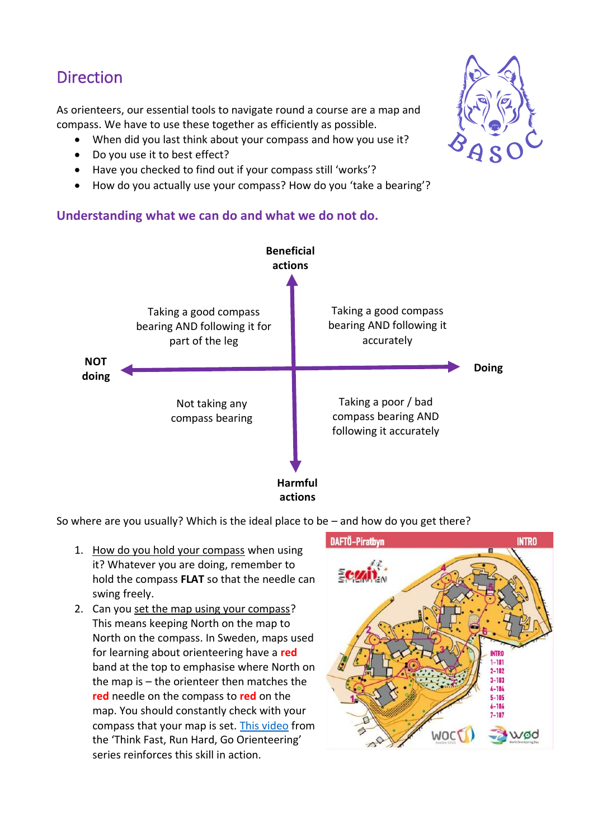## Direction

As orienteers, our essential tools to navigate round a course are a map and compass. We have to use these together as efficiently as possible.

- When did you last think about your compass and how you use it?
- Do you use it to best effect?
- Have you checked to find out if your compass still 'works'?
- How do you actually use your compass? How do you 'take a bearing'?

## **Understanding what we can do and what we do not do.**



So where are you usually? Which is the ideal place to be – and how do you get there?

- 1. How do you hold your compass when using it? Whatever you are doing, remember to hold the compass **FLAT** so that the needle can swing freely.
- 2. Can you set the map using your compass? This means keeping North on the map to North on the compass. In Sweden, maps used for learning about orienteering have a **red** band at the top to emphasise where North on the map is – the orienteer then matches the **red** needle on the compass to **red** on the map. You should constantly check with your compass that your map is set. [This video](https://www.youtube.com/watch?v=2LZpOZI94bU&list=PLwQxj0iau_RfjWcf_sX-TgM2yIwbpWO2v) from the 'Think Fast, Run Hard, Go Orienteering' series reinforces this skill in action.